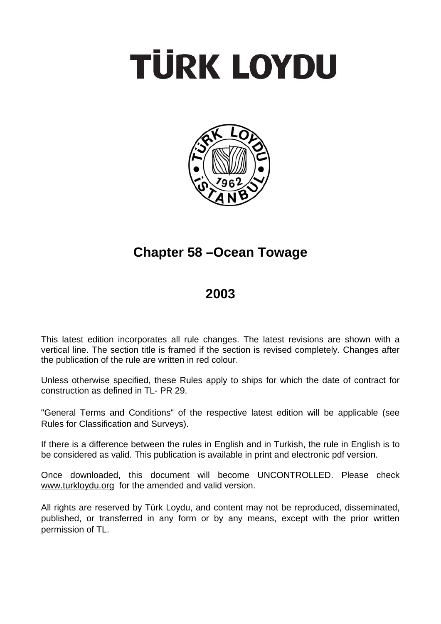# **TÜRK LOYDU**



# **Chapter 58 –Ocean Towage**

# **2003**

This latest edition incorporates all rule changes. The latest revisions are shown with a vertical line. The section title is framed if the section is revised completely. Changes after the publication of the rule are written in red colour.

Unless otherwise specified, these Rules apply to ships for which the date of contract for construction as defined in TL- PR 29.

"General Terms and Conditions" of the respective latest edition will be applicable (see Rules for Classification and Surveys).

If there is a difference between the rules in English and in Turkish, the rule in English is to be considered as valid. This publication is available in print and electronic pdf version.

Once downloaded, this document will become UNCONTROLLED. Please check www.turkloydu.org for the amended and valid version.

All rights are reserved by Türk Loydu, and content may not be reproduced, disseminated, published, or transferred in any form or by any means, except with the prior written permission of TL.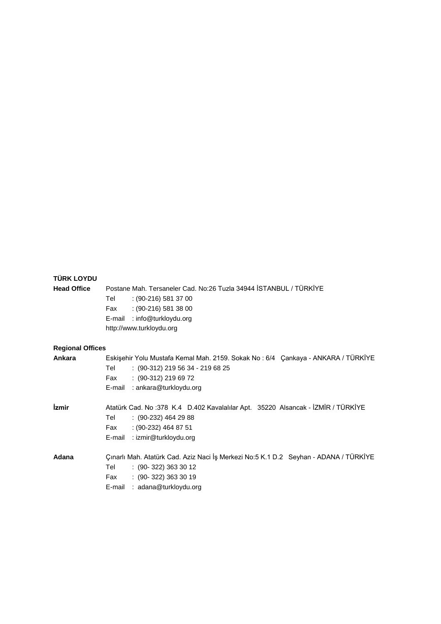| <b>TÜRK LOYDU</b>          |                                                                                                                                                                                       |
|----------------------------|---------------------------------------------------------------------------------------------------------------------------------------------------------------------------------------|
| <b>Head Office</b>         | Postane Mah. Tersaneler Cad. No:26 Tuzla 34944 İSTANBUL / TÜRKİYE                                                                                                                     |
|                            | $(90-216)$ 581 37 00<br>Tel                                                                                                                                                           |
|                            | $(90-216)$ 581 38 00<br>Fax                                                                                                                                                           |
|                            | E-mail : info@turkloydu.org                                                                                                                                                           |
|                            | http://www.turkloydu.org                                                                                                                                                              |
| <b>Regional Offices</b>    |                                                                                                                                                                                       |
| Ankara                     | Eskişehir Yolu Mustafa Kemal Mah. 2159. Sokak No: 6/4 Çankaya - ANKARA / TÜRKİYE                                                                                                      |
|                            | $: (90-312)$ 219 56 34 - 219 68 25<br>Tel                                                                                                                                             |
|                            | $: (90-312) 219 69 72$<br>Fax                                                                                                                                                         |
|                            | E-mail : ankara@turkloydu.org                                                                                                                                                         |
| <i><u><b>izmir</b></u></i> | Atatürk Cad. No:378 K.4 D.402 Kavalalılar Apt. 35220 Alsancak - İZMİR / TÜRKİYE                                                                                                       |
|                            | Tel<br>$(90-232)$ 464 29 88                                                                                                                                                           |
|                            | Fax<br>$(90-232)$ 464 87 51                                                                                                                                                           |
|                            | E-mail : izmir@turkloydu.org                                                                                                                                                          |
| Adana                      | Çınarlı Mah. Atatürk Cad. Aziz Naci İş Merkezi No:5 K.1 D.2 Seyhan - ADANA / TÜRKİYE<br>Tel<br>$(90-322)$ 363 30 12<br>$(90-322)$ 363 30 19<br>Fax<br>: adana@turkloydu.org<br>E-mail |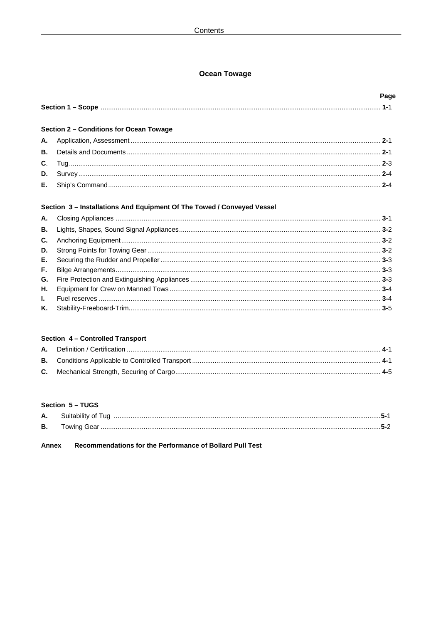# **Ocean Towage**

# Section 2 - Conditions for Ocean Towage

# Section 3 - Installations And Equipment Of The Towed / Conveyed Vessel

# Section 4 - Controlled Transport

# Section 5 - TUGS

| А. | Suitability of Tug |  |
|----|--------------------|--|
| В. |                    |  |

Recommendations for the Performance of Bollard Pull Test **Annex**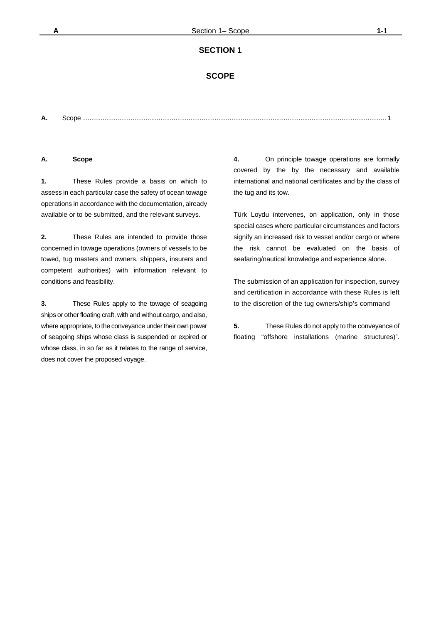#### **SCOPE**

**A.** Scope ................................................................................................................................................................... 1

#### **A. Scope**

**1.** These Rules provide a basis on which to assess in each particular case the safety of ocean towage operations in accordance with the documentation, already available or to be submitted, and the relevant surveys.

**2.** These Rules are intended to provide those concerned in towage operations (owners of vessels to be towed, tug masters and owners, shippers, insurers and competent authorities) with information relevant to conditions and feasibility.

**3.** These Rules apply to the towage of seagoing ships or other floating craft, with and without cargo, and also, where appropriate, to the conveyance under their own power of seagoing ships whose class is suspended or expired or whose class, in so far as it relates to the range of service, does not cover the proposed voyage.

**4.** On principle towage operations are formally covered by the by the necessary and available international and national certificates and by the class of the tug and its tow.

Türk Loydu intervenes, on application, only in those special cases where particular circumstances and factors signify an increased risk to vessel and/or cargo or where the risk cannot be evaluated on the basis of seafaring/nautical knowledge and experience alone.

The submission of an application for inspection, survey and certification in accordance with these Rules is left to the discretion of the tug owners/ship's command

**5.** These Rules do not apply to the conveyance of floating "offshore installations (marine structures)".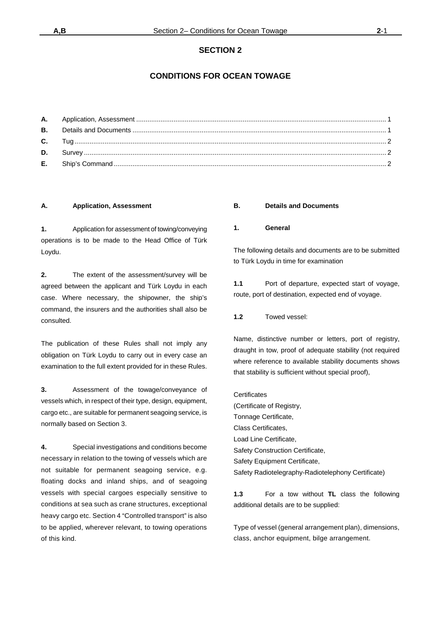# **CONDITIONS FOR OCEAN TOWAGE**

#### **A. Application, Assessment**

**1.** Application for assessment of towing/conveying operations is to be made to the Head Office of Türk Loydu.

**2.** The extent of the assessment/survey will be agreed between the applicant and Türk Loydu in each case. Where necessary, the shipowner, the ship's command, the insurers and the authorities shall also be consulted.

The publication of these Rules shall not imply any obligation on Türk Loydu to carry out in every case an examination to the full extent provided for in these Rules.

**3.** Assessment of the towage/conveyance of vessels which, in respect of their type, design, equipment, cargo etc., are suitable for permanent seagoing service, is normally based on Section 3.

**4.** Special investigations and conditions become necessary in relation to the towing of vessels which are not suitable for permanent seagoing service, e.g. floating docks and inland ships, and of seagoing vessels with special cargoes especially sensitive to conditions at sea such as crane structures, exceptional heavy cargo etc. Section 4 "Controlled transport" is also to be applied, wherever relevant, to towing operations of this kind.

#### **B. Details and Documents**

#### **1. General**

The following details and documents are to be submitted to Türk Loydu in time for examination

**1.1** Port of departure, expected start of voyage, route, port of destination, expected end of voyage.

**1.2** Towed vessel:

Name, distinctive number or letters, port of registry, draught in tow, proof of adequate stability (not required where reference to available stability documents shows that stability is sufficient without special proof),

**Certificates** (Certificate of Registry, Tonnage Certificate, Class Certificates, Load Line Certificate, Safety Construction Certificate, Safety Equipment Certificate, Safety Radiotelegraphy-Radiotelephony Certificate)

**1.3** For a tow without **TL** class the following additional details are to be supplied:

Type of vessel (general arrangement plan), dimensions, class, anchor equipment, bilge arrangement.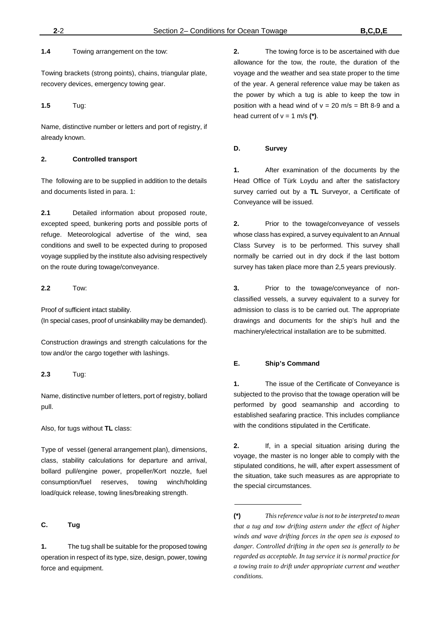**1.4** Towing arrangement on the tow:

Towing brackets (strong points), chains, triangular plate, recovery devices, emergency towing gear.

**1.5** Tug:

Name, distinctive number or letters and port of registry, if already known.

# **2. Controlled transport**

The following are to be supplied in addition to the details and documents listed in para. 1:

**2.1** Detailed information about proposed route, excepted speed, bunkering ports and possible ports of refuge. Meteorological advertise of the wind, sea conditions and swell to be expected during to proposed voyage supplied by the institute also advising respectively on the route during towage/conveyance.

**2.2** Tow:

Proof of sufficient intact stability. (In special cases, proof of unsinkability may be demanded).

Construction drawings and strength calculations for the tow and/or the cargo together with lashings.

**2.3** Tug:

Name, distinctive number of letters, port of registry, bollard pull.

Also, for tugs without **TL** class:

Type of vessel (general arrangement plan), dimensions, class, stability calculations for departure and arrival, bollard pull/engine power, propeller/Kort nozzle, fuel consumption/fuel reserves, towing winch/holding load/quick release, towing lines/breaking strength.

# **C. Tug**

**1.** The tug shall be suitable for the proposed towing operation in respect of its type, size, design, power, towing force and equipment.

**2.** The towing force is to be ascertained with due allowance for the tow, the route, the duration of the voyage and the weather and sea state proper to the time of the year. A general reference value may be taken as the power by which a tug is able to keep the tow in position with a head wind of  $v = 20$  m/s = Bft 8-9 and a head current of  $v = 1$  m/s  $(*)$ .

#### **D. Survey**

**1.** After examination of the documents by the Head Office of Türk Loydu and after the satisfactory survey carried out by a **TL** Surveyor, a Certificate of Conveyance will be issued.

**2.** Prior to the towage/conveyance of vessels whose class has expired, a survey equivalent to an Annual Class Survey is to be performed. This survey shall normally be carried out in dry dock if the last bottom survey has taken place more than 2,5 years previously.

**3.** Prior to the towage/conveyance of nonclassified vessels, a survey equivalent to a survey for admission to class is to be carried out. The appropriate drawings and documents for the ship's hull and the machinery/electrical installation are to be submitted.

#### **E. Ship's Command**

**1.** The issue of the Certificate of Conveyance is subjected to the proviso that the towage operation will be performed by good seamanship and according to established seafaring practice. This includes compliance with the conditions stipulated in the Certificate.

**2.** If, in a special situation arising during the voyage, the master is no longer able to comply with the stipulated conditions, he will, after expert assessment of the situation, take such measures as are appropriate to the special circumstances.

**<sup>(\*)</sup>** *This reference value is not to be interpreted to mean that a tug and tow drifting astern under the effect of higher winds and wave drifting forces in the open sea is exposed to danger. Controlled drifting in the open sea is generally to be regarded as acceptable. In tug service it is normal practice for a towing train to drift under appropriate current and weather conditions.*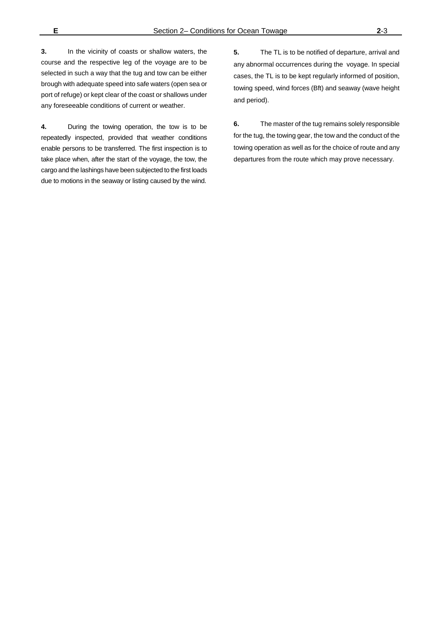**3.** In the vicinity of coasts or shallow waters, the course and the respective leg of the voyage are to be selected in such a way that the tug and tow can be either brough with adequate speed into safe waters (open sea or port of refuge) or kept clear of the coast or shallows under any foreseeable conditions of current or weather.

**4.** During the towing operation, the tow is to be repeatedly inspected, provided that weather conditions enable persons to be transferred. The first inspection is to take place when, after the start of the voyage, the tow, the cargo and the lashings have been subjected to the first loads due to motions in the seaway or listing caused by the wind.

**5.** The TL is to be notified of departure, arrival and any abnormal occurrences during the voyage. In special cases, the TL is to be kept regularly informed of position, towing speed, wind forces (Bft) and seaway (wave height and period).

**6.** The master of the tug remains solely responsible for the tug, the towing gear, the tow and the conduct of the towing operation as well as for the choice of route and any departures from the route which may prove necessary.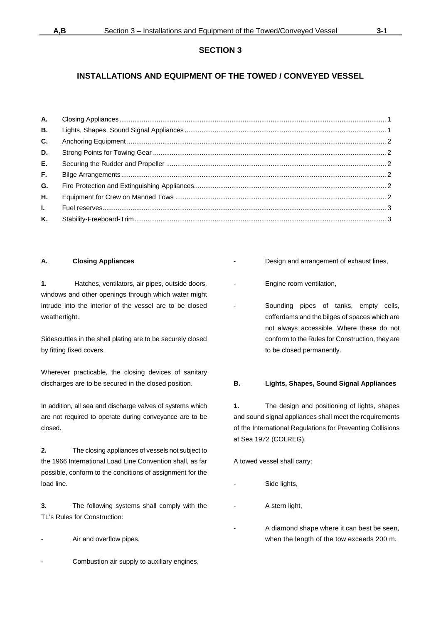# **INSTALLATIONS AND EQUIPMENT OF THE TOWED / CONVEYED VESSEL**

| А.           |  |
|--------------|--|
| В.           |  |
| C.           |  |
| D.           |  |
| E.,          |  |
| F.,          |  |
| G.           |  |
| Η.           |  |
| $\mathbf{L}$ |  |
| Κ.           |  |
|              |  |

#### **A. Closing Appliances**

**1.** Hatches, ventilators, air pipes, outside doors, windows and other openings through which water might intrude into the interior of the vessel are to be closed weathertight.

Sidescuttles in the shell plating are to be securely closed by fitting fixed covers.

Wherever practicable, the closing devices of sanitary discharges are to be secured in the closed position.

In addition, all sea and discharge valves of systems which are not required to operate during conveyance are to be closed.

**2.** The closing appliances of vessels not subject to the 1966 International Load Line Convention shall, as far possible, conform to the conditions of assignment for the load line.

**3.** The following systems shall comply with the TL's Rules for Construction:

- Air and overflow pipes,
- Combustion air supply to auxiliary engines,
- Design and arrangement of exhaust lines,
- Engine room ventilation,
- Sounding pipes of tanks, empty cells, cofferdams and the bilges of spaces which are not always accessible. Where these do not conform to the Rules for Construction, they are to be closed permanently.

#### **B. Lights, Shapes, Sound Signal Appliances**

**1.** The design and positioning of lights, shapes and sound signal appliances shall meet the requirements of the International Regulations for Preventing Collisions at Sea 1972 (COLREG).

A towed vessel shall carry:

- Side lights,
	- A stern light,
- A diamond shape where it can best be seen, when the length of the tow exceeds 200 m.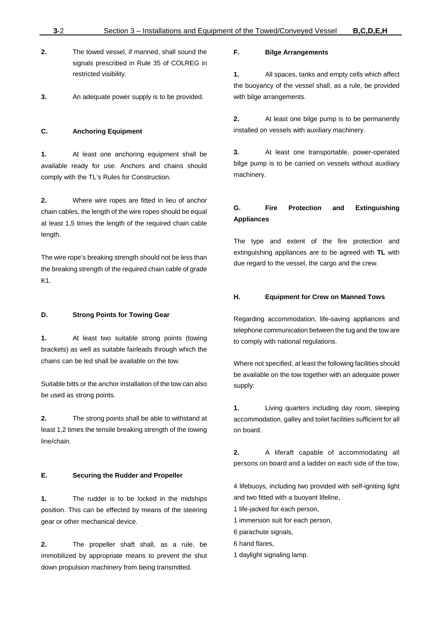- **2.** The towed vessel, if manned, shall sound the signals prescribed in Rule 35 of COLREG in restricted visibility.
- **3.** An adequate power supply is to be provided.

#### **C. Anchoring Equipment**

**1.** At least one anchoring equipment shall be available ready for use. Anchors and chains should comply with the TL's Rules for Construction.

**2.** Where wire ropes are fitted in lieu of anchor chain cables, the length of the wire ropes should be equal at least 1,5 times the length of the required chain cable length.

The wire rope's breaking strength should not be less than the breaking strength of the required chain cable of grade K1.

#### **D. Strong Points for Towing Gear**

**1.** At least two suitable strong points (towing brackets) as well as suitable fairleads through which the chains can be led shall be available on the tow.

Suitable bitts or the anchor installation of the tow can also be used as strong points.

**2.** The strong points shall be able to withstand at least 1,2 times the tensile breaking strength of the towing line/chain.

#### **E. Securing the Rudder and Propeller**

**1.** The rudder is to be locked in the midships position. This can be effected by means of the steering gear or other mechanical device.

**2.** The propeller shaft shall, as a rule, be immobilized by appropriate means to prevent the shut down propulsion machinery from being transmitted.

#### **F. Bilge Arrangements**

**1.** All spaces, tanks and empty cells which affect the buoyancy of the vessel shall, as a rule, be provided with bilge arrangements.

**2.** At least one bilge pump is to be permanently installed on vessels with auxiliary machinery.

**3.** At least one transportable, power-operated bilge pump is to be carried on vessels without auxiliary machinery.

# **G. Fire Protection and Extinguishing Appliances**

The type and extent of the fire protection and extinguishing appliances are to be agreed with **TL** with due regard to the vessel, the cargo and the crew.

#### **H. Equipment for Crew on Manned Tows**

Regarding accommodation, life-saving appliances and telephone communication between the tug and the tow are to comply with national regulations.

Where not specified, at least the following facilities should be available on the tow together with an adequate power supply:

**1.** Living quarters including day room, sleeping accommodation, galley and toilet facilities sufficient for all on board.

**2.** A liferaft capable of accommodating all persons on board and a ladder on each side of the tow,

4 lifebuoys, including two provided with self-igniting light and two fitted with a buoyant lifeline,

- 1 life-jacked for each person,
- 1 immersion suit for each person,
- 6 parachute signals,
- 6 hand flares,
- 1 daylight signaling lamp.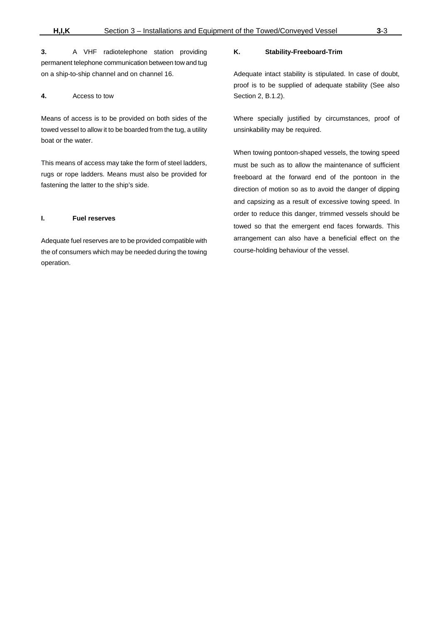**3.** A VHF radiotelephone station providing permanent telephone communication between tow and tug on a ship-to-ship channel and on channel 16.

#### **4.** Access to tow

Means of access is to be provided on both sides of the towed vessel to allow it to be boarded from the tug, a utility boat or the water.

This means of access may take the form of steel ladders, rugs or rope ladders. Means must also be provided for fastening the latter to the ship's side.

#### **I. Fuel reserves**

Adequate fuel reserves are to be provided compatible with the of consumers which may be needed during the towing operation.

#### **K. Stability-Freeboard-Trim**

Adequate intact stability is stipulated. In case of doubt, proof is to be supplied of adequate stability (See also Section 2, B.1.2).

Where specially justified by circumstances, proof of unsinkability may be required.

When towing pontoon-shaped vessels, the towing speed must be such as to allow the maintenance of sufficient freeboard at the forward end of the pontoon in the direction of motion so as to avoid the danger of dipping and capsizing as a result of excessive towing speed. In order to reduce this danger, trimmed vessels should be towed so that the emergent end faces forwards. This arrangement can also have a beneficial effect on the course-holding behaviour of the vessel.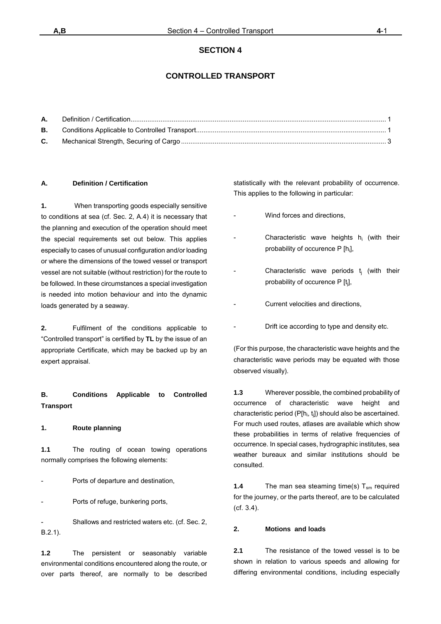# **CONTROLLED TRANSPORT**

| <b>A.</b> |  |
|-----------|--|
| В.        |  |
| C.        |  |

#### **A. Definition / Certification**

**1.** When transporting goods especially sensitive to conditions at sea (cf. Sec. 2, A.4) it is necessary that the planning and execution of the operation should meet the special requirements set out below. This applies especially to cases of unusual configuration and/or loading or where the dimensions of the towed vessel or transport vessel are not suitable (without restriction) for the route to be followed. In these circumstances a special investigation is needed into motion behaviour and into the dynamic loads generated by a seaway.

**2.** Fulfilment of the conditions applicable to "Controlled transport" is certified by **TL** by the issue of an appropriate Certificate, which may be backed up by an expert appraisal.

# **B. Conditions Applicable to Controlled Transport**

#### **1. Route planning**

**1.1** The routing of ocean towing operations normally comprises the following elements:

Ports of departure and destination,

Ports of refuge, bunkering ports,

Shallows and restricted waters etc. (cf. Sec. 2, B.2.1).

**1.2** The persistent or seasonably variable environmental conditions encountered along the route, or over parts thereof, are normally to be described

statistically with the relevant probability of occurrence. This applies to the following in particular:

- Wind forces and directions,
- Characteristic wave heights h<sub>i</sub> (with their probability of occurence P [h<sub>i</sub>],
- Characteristic wave periods t<sub>j</sub> (with their probability of occurence  $P[t_i]$ ,
- Current velocities and directions.
- Drift ice according to type and density etc.

(For this purpose, the characteristic wave heights and the characteristic wave periods may be equated with those observed visually).

**1.3** Wherever possible, the combined probability of occurrence of characteristic wave height and characteristic period  $(PIh_i, t_j]$ ) should also be ascertained. For much used routes, atlases are available which show these probabilities in terms of relative frequencies of occurrence. In special cases, hydrographic institutes, sea weather bureaux and similar institutions should be consulted.

**1.4** The man sea steaming time(s)  $T_{\text{sm}}$  required for the journey, or the parts thereof, are to be calculated (cf. 3.4).

#### **2. Motions and loads**

**2.1** The resistance of the towed vessel is to be shown in relation to various speeds and allowing for differing environmental conditions, including especially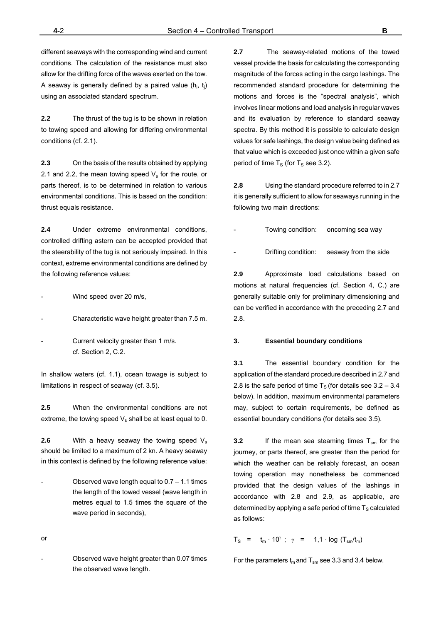different seaways with the corresponding wind and current conditions. The calculation of the resistance must also allow for the drifting force of the waves exerted on the tow. A seaway is generally defined by a paired value  $(h_i, t_j)$ using an associated standard spectrum.

**2.2** The thrust of the tug is to be shown in relation to towing speed and allowing for differing environmental conditions (cf. 2.1).

**2.3** On the basis of the results obtained by applying 2.1 and 2.2, the mean towing speed  $V_s$  for the route, or parts thereof, is to be determined in relation to various environmental conditions. This is based on the condition: thrust equals resistance.

**2.4** Under extreme environmental conditions, controlled drifting astern can be accepted provided that the steerability of the tug is not seriously impaired. In this context, extreme environmental conditions are defined by the following reference values:

Wind speed over 20 m/s,

- Characteristic wave height greater than 7.5 m.
- Current velocity greater than 1 m/s. cf. Section 2, C.2.

In shallow waters (cf. 1.1), ocean towage is subject to limitations in respect of seaway (cf. 3.5).

**2.5** When the environmental conditions are not extreme, the towing speed  $V_s$  shall be at least equal to 0.

**2.6** With a heavy seaway the towing speed V<sub>s</sub> should be limited to a maximum of 2 kn. A heavy seaway in this context is defined by the following reference value:

Observed wave length equal to  $0.7 - 1.1$  times the length of the towed vessel (wave length in metres equal to 1.5 times the square of the wave period in seconds),

or

- Observed wave height greater than 0.07 times the observed wave length.

**2.7** The seaway-related motions of the towed vessel provide the basis for calculating the corresponding magnitude of the forces acting in the cargo lashings. The recommended standard procedure for determining the motions and forces is the "spectral analysis", which involves linear motions and load analysis in regular waves and its evaluation by reference to standard seaway spectra. By this method it is possible to calculate design values for safe lashings, the design value being defined as that value which is exceeded just once within a given safe period of time  $T_S$  (for  $T_S$  see 3.2).

**2.8** Using the standard procedure referred to in 2.7 it is generally sufficient to allow for seaways running in the following two main directions:

- Towing condition: oncoming sea way
- Drifting condition: seaway from the side

**2.9** Approximate load calculations based on motions at natural frequencies (cf. Section 4, C.) are generally suitable only for preliminary dimensioning and can be verified in accordance with the preceding 2.7 and 2.8.

#### **3. Essential boundary conditions**

**3.1** The essential boundary condition for the application of the standard procedure described in 2.7 and 2.8 is the safe period of time  $T<sub>S</sub>$  (for details see 3.2 – 3.4) below). In addition, maximum environmental parameters may, subject to certain requirements, be defined as essential boundary conditions (for details see 3.5).

**3.2** If the mean sea steaming times  $T_{\rm sm}$  for the journey, or parts thereof, are greater than the period for which the weather can be reliably forecast, an ocean towing operation may nonetheless be commenced provided that the design values of the lashings in accordance with 2.8 and 2.9, as applicable, are determined by applying a safe period of time  $T_S$  calculated as follows:

 $T_S$  =  $t_m \cdot 10^\gamma$ ;  $\gamma$  = 1,1 · log ( $T_{sm}/t_m$ )

For the parameters  $t_m$  and  $T_{sm}$  see 3.3 and 3.4 below.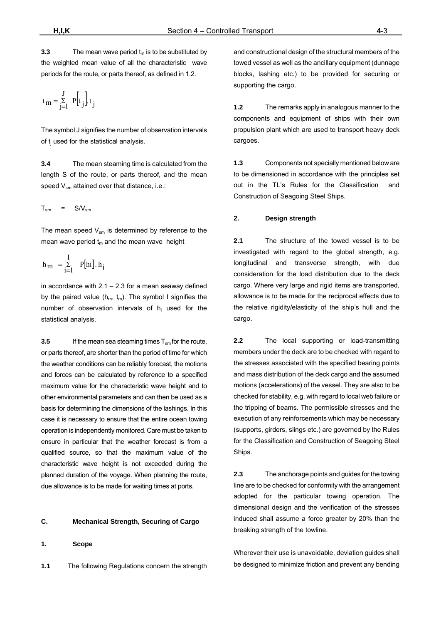**3.3** The mean wave period  $t_m$  is to be substituted by the weighted mean value of all the characteristic wave periods for the route, or parts thereof, as defined in 1.2.

$$
t_m = \sum_{j=1}^{J} P[t_j] t_j
$$

The symbol J signifies the number of observation intervals of t<sub>i</sub> used for the statistical analysis.

**3.4** The mean steaming time is calculated from the length S of the route, or parts thereof, and the mean speed  $V_{\rm sm}$  attained over that distance, i.e.:

$$
T_{\rm sm} = S/V_{\rm sm}
$$

The mean speed  $V_{\rm sm}$  is determined by reference to the mean wave period  $t_m$  and the mean wave height

$$
\mathbf{h}_m~= \begin{matrix} I \\ \Sigma \\ i = l \end{matrix} \quad P[\mathbf{h}i] \cdot \mathbf{h}_i
$$

in accordance with  $2.1 - 2.3$  for a mean seaway defined by the paired value ( $h_m$ ,  $t_m$ ). The symbol I signifies the number of observation intervals of h<sub>i</sub> used for the statistical analysis.

**3.5** If the mean sea steaming times  $T_{\rm sm}$  for the route, or parts thereof, are shorter than the period of time for which the weather conditions can be reliably forecast, the motions and forces can be calculated by reference to a specified maximum value for the characteristic wave height and to other environmental parameters and can then be used as a basis for determining the dimensions of the lashings. In this case it is necessary to ensure that the entire ocean towing operation is independently monitored. Care must be taken to ensure in particular that the weather forecast is from a qualified source, so that the maximum value of the characteristic wave height is not exceeded during the planned duration of the voyage. When planning the route, due allowance is to be made for waiting times at ports.

#### **C. Mechanical Strength, Securing of Cargo**

**1. Scope** 

**1.1** The following Regulations concern the strength

and constructional design of the structural members of the towed vessel as well as the ancillary equipment (dunnage) blocks, lashing etc.) to be provided for securing or supporting the cargo.

**1.2** The remarks apply in analogous manner to the components and equipment of ships with their own propulsion plant which are used to transport heavy deck cargoes.

**1.3** Components not specially mentioned below are to be dimensioned in accordance with the principles set out in the TL's Rules for the Classification and Construction of Seagoing Steel Ships.

#### **2. Design strength**

**2.1** The structure of the towed vessel is to be investigated with regard to the global strength, e.g. longitudinal and transverse strength, with due consideration for the load distribution due to the deck cargo. Where very large and rigid items are transported, allowance is to be made for the reciprocal effects due to the relative rigidity/elasticity of the ship's hull and the cargo.

**2.2** The local supporting or load-transmitting members under the deck are to be checked with regard to the stresses associated with the specified bearing points and mass distribution of the deck cargo and the assumed motions (accelerations) of the vessel. They are also to be checked for stability, e.g. with regard to local web failure or the tripping of beams. The permissible stresses and the execution of any reinforcements which may be necessary (supports, girders, slings etc.) are governed by the Rules for the Classification and Construction of Seagoing Steel Ships.

**2.3** The anchorage points and guides for the towing line are to be checked for conformity with the arrangement adopted for the particular towing operation. The dimensional design and the verification of the stresses induced shall assume a force greater by 20% than the breaking strength of the towline.

Wherever their use is unavoidable, deviation guides shall be designed to minimize friction and prevent any bending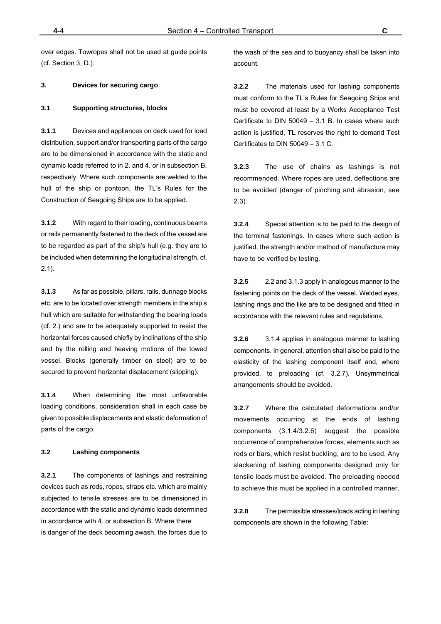over edges. Towropes shall not be used at guide points (cf. Section 3, D.).

#### **3. Devices for securing cargo**

#### **3.1 Supporting structures, blocks**

**3.1.1** Devices and appliances on deck used for load distribution, support and/or transporting parts of the cargo are to be dimensioned in accordance with the static and dynamic loads referred to in 2. and 4. or in subsection B. respectively. Where such components are welded to the hull of the ship or pontoon, the TL's Rules for the Construction of Seagoing Ships are to be applied.

**3.1.2** With regard to their loading, continuous beams or rails permanently fastened to the deck of the vessel are to be regarded as part of the ship's hull (e.g. they are to be included when determining the longitudinal strength, cf. 2.1).

**3.1.3** As far as possible, pillars, rails, dunnage blocks etc. are to be located over strength members in the ship's hull which are suitable for withstanding the bearing loads (cf. 2.) and are to be adequately supported to resist the horizontal forces caused chiefly by inclinations of the ship and by the rolling and heaving motions of the towed vessel. Blocks (generally timber on steel) are to be secured to prevent horizontal displacement (slipping).

**3.1.4** When determining the most unfavorable loading conditions, consideration shall in each case be given to possible displacements and elastic deformation of parts of the cargo.

#### **3.2 Lashing components**

**3.2.1** The components of lashings and restraining devices such as rods, ropes, straps etc. which are mainly subjected to tensile stresses are to be dimensioned in accordance with the static and dynamic loads determined in accordance with 4. or subsection B. Where there is danger of the deck becoming awash, the forces due to the wash of the sea and to buoyancy shall be taken into account.

**3.2.2** The materials used for lashing components must conform to the TL's Rules for Seagoing Ships and must be covered at least by a Works Acceptance Test Certificate to DIN 50049 – 3.1 B. In cases where such action is justified, **TL** reserves the right to demand Test Certificates to DIN 50049 – 3.1 C.

**3.2.3** The use of chains as lashings is not recommended. Where ropes are used, deflections are to be avoided (danger of pinching and abrasion, see 2.3).

**3.2.4** Special attention is to be paid to the design of the terminal fastenings. In cases where such action is justified, the strength and/or method of manufacture may have to be verified by testing.

**3.2.5** 2.2 and 3.1.3 apply in analogous manner to the fastening points on the deck of the vessel. Welded eyes, lashing rings and the like are to be designed and fitted in accordance with the relevant rules and regulations.

**3.2.6** 3.1.4 applies in analogous manner to lashing components. In general, attention shall also be paid to the elasticity of the lashing component itself and, where provided, to preloading (cf. 3.2.7). Unsymmetrical arrangements should be avoided.

**3.2.7** Where the calculated deformations and/or movements occurring at the ends of lashing components (3.1.4/3.2.6) suggest the possible occurrence of comprehensive forces, elements such as rods or bars, which resist buckling, are to be used. Any slackening of lashing components designed only for tensile loads must be avoided. The preloading needed to achieve this must be applied in a controlled manner.

**3.2.8** The permissible stresses/loads acting in lashing components are shown in the following Table: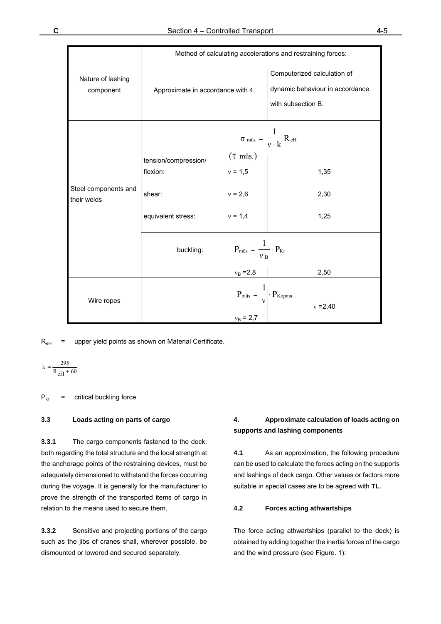|                                | Method of calculating accelerations and restraining forces: |                                                                      |                                                                                      |  |
|--------------------------------|-------------------------------------------------------------|----------------------------------------------------------------------|--------------------------------------------------------------------------------------|--|
| Nature of lashing<br>component | Approximate in accordance with 4.                           |                                                                      | Computerized calculation of<br>dynamic behaviour in accordance<br>with subsection B. |  |
|                                |                                                             |                                                                      | $\sigma_{\text{miss}} = \frac{1}{v \cdot k} R_{\text{eH}}$                           |  |
|                                | tension/compression/                                        | $(\tau$ müs.)                                                        |                                                                                      |  |
|                                | flexion:                                                    | $v = 1,5$                                                            | 1,35                                                                                 |  |
|                                |                                                             |                                                                      |                                                                                      |  |
| Steel components and           | shear:                                                      | $v = 2,6$                                                            | 2,30                                                                                 |  |
| their welds                    |                                                             |                                                                      |                                                                                      |  |
|                                | equivalent stress: $v = 1,4$                                |                                                                      | 1,25                                                                                 |  |
|                                |                                                             |                                                                      |                                                                                      |  |
|                                | buckling:                                                   | $P_{\text{müs}} = \frac{1}{v_B} \cdot P_{Kr}$                        |                                                                                      |  |
|                                |                                                             | $v_B = 2.8$                                                          | 2,50                                                                                 |  |
| Wire ropes                     |                                                             | $P_{\text{müs}} = \frac{1}{v} \cdot P_{\text{Kopma}}$<br>$v_B = 2.7$ | $v = 2,40$                                                                           |  |

 $R<sub>eH</sub>$  = upper yield points as shown on Material Certificate.

$$
k = \frac{295}{R_{eH} + 60}
$$

 $P_{kr}$  = critical buckling force

#### **3.3 Loads acting on parts of cargo**

**3.3.1** The cargo components fastened to the deck, both regarding the total structure and the local strength at the anchorage points of the restraining devices, must be adequately dimensioned to withstand the forces occurring during the voyage. It is generally for the manufacturer to prove the strength of the transported items of cargo in relation to the means used to secure them.

**3.3.2** Sensitive and projecting portions of the cargo such as the jibs of cranes shall, wherever possible, be dismounted or lowered and secured separately.

# **4. Approximate calculation of loads acting on supports and lashing components**

**4.1** As an approximation, the following procedure can be used to calculate the forces acting on the supports and lashings of deck cargo. Other values or factors more suitable in special cases are to be agreed with **TL**.

# **4.2 Forces acting athwartships**

The force acting athwartships (parallel to the deck) is obtained by adding together the inertia forces of the cargo and the wind pressure (see Figure. 1):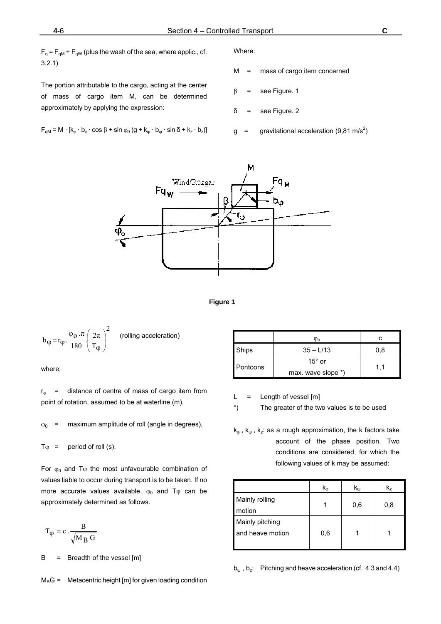$F_q = F_{qM} + F_{qW}$  (plus the wash of the sea, where applic., cf. 3.2.1)

The portion attributable to the cargo, acting at the center of mass of cargo item M, can be determined approximately by applying the expression:

$$
F_{qM} = M \cdot [k_{\varphi} \cdot b_{\varphi} \cdot \cos \beta + \sin \varphi_0 (g + k_{\psi} \cdot b_{\psi} \cdot \sin \delta + k_z \cdot b_z)]
$$

Where:

M = mass of cargo item concerned

 $\beta$  = see Figure. 1

δ = see Figure. 2

 $g = \text{gravitational acceleration} (9.81 \text{ m/s}^2)$ 





$$
b_{\phi} = r_{\phi} \cdot \frac{\varphi_0 \cdot \pi}{180} \left(\frac{2\pi}{T_{\phi}}\right)^2 \qquad \text{(rolling acceleration)}
$$

where;

 $r_{\odot}$  = distance of centre of mass of cargo item from point of rotation, assumed to be at waterline (m),

 $\varphi_0$  = maximum amplitude of roll (angle in degrees),

 $T\varphi$  = period of roll (s).

For  $\varphi_0$  and T $\varphi$  the most unfavourable combination of values liable to occur during transport is to be taken. If no more accurate values available,  $\varphi_0$  and T $\varphi$  can be approximately determined as follows.

$$
T_{\phi} = c \cdot \frac{B}{\sqrt{M_B G}}
$$

 $B = B$  = Breadth of the vessel  $[m]$ 

 $M_B$ G = Metacentric height [m] for given loading condition

|          | φo                 | c   |
|----------|--------------------|-----|
| Ships    | $35 - L/13$        | 0.8 |
|          | 15 $^{\circ}$ or   |     |
| Pontoons | max. wave slope *) | 1.1 |

 $L =$  Length of vessel  $[m]$ 

\*) The greater of the two values is to be used

 $k_{\varphi}$ ,  $k_{\psi}$ ,  $k_{z}$ : as a rough approximation, the k factors take account of the phase position. Two conditions are considered, for which the following values of k may be assumed:

|                                     | K.  | $K_{\rm{uu}}$ | k,  |
|-------------------------------------|-----|---------------|-----|
| Mainly rolling<br>motion            |     | 0,6           | 0,8 |
| Mainly pitching<br>and heave motion | 0,6 |               |     |

 $b_{\rm w}$ ,  $b_{\rm z}$ : Pitching and heave acceleration (cf. 4.3 and 4.4)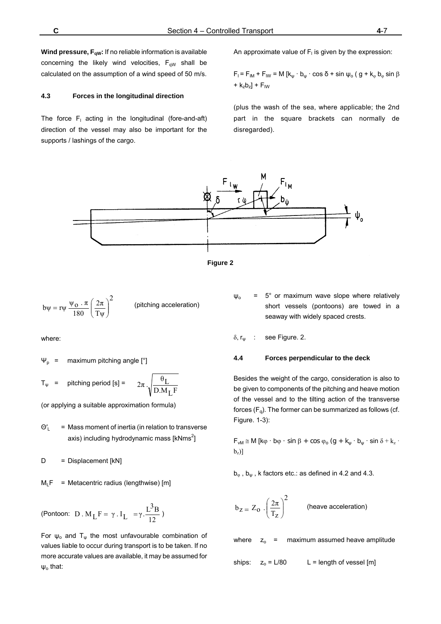**Wind pressure, F<sub>qW</sub>:** If no reliable information is available concerning the likely wind velocities,  $F_{qW}$  shall be calculated on the assumption of a wind speed of 50 m/s.

#### **4.3 Forces in the longitudinal direction**

The force  $F_1$  acting in the longitudinal (fore-and-aft) direction of the vessel may also be important for the supports / lashings of the cargo.

An approximate value of  $F<sub>1</sub>$  is given by the expression:

 $F_1 = F_{IM} + F_{IW} = M [k_{\omega} \cdot b_{\omega} \cdot \cos \delta + \sin \psi_0 (g + k_{\omega} b_{\omega} \sin \beta$  $+ k_z b_z$ ] + F<sub>IW</sub>

(plus the wash of the sea, where applicable; the 2nd part in the square brackets can normally de disregarded).





$$
b\psi = r\psi \frac{\psi_0 \cdot \pi}{180} \left(\frac{2\pi}{T\psi}\right)^2
$$
 (pitching acceleration)

where:

$$
\Psi_p
$$
 = maximum pitching angle [°]

$$
T_{\psi}
$$
 = pitching period [s] =  $2\pi \sqrt{\frac{\theta_L}{D.M_L F}}$ 

(or applying a suitable approximation formula)

 $\Theta'$  = Mass moment of inertia (in relation to transverse axis) including hydrodynamic mass  $[kNms^2]$ 

 $D =$  Displacement [kN]

 $M_1F$  = Metacentric radius (lengthwise) [m]

$$
\text{(Pontoon: } \ D \ . \ M_L F = \gamma \ . \ I_L \ = \gamma \ . \frac{L^3 B}{12} \ )
$$

For  $\psi_0$  and T<sub> $\psi$ </sub> the most unfavourable combination of values liable to occur during transport is to be taken. If no more accurate values are available, it may be assumed for  $\psi_0$  that:

 $\psi_0$  = 5° or maximum wave slope where relatively short vessels (pontoons) are towed in a seaway with widely spaced crests.

 $\delta$ ,  $r_{\text{uu}}$  : see Figure. 2.

#### **4.4 Forces perpendicular to the deck**

Besides the weight of the cargo, consideration is also to be given to components of the pitching and heave motion of the vessel and to the tilting action of the transverse forces  $(F_q)$ . The former can be summarized as follows (cf. Figure. 1-3):

 $F_{vM} \cong M$  [k $\varphi \cdot b\varphi \cdot \sin \beta + \cos \varphi_0$  (g + k<sub>ψ</sub> · b<sub>ψ</sub> · sin  $\delta + k_z$  ·  $b<sub>z</sub>$ )]

 $b_{\varphi}$ ,  $b_{\psi}$ , k factors etc.: as defined in 4.2 and 4.3.

$$
b_Z = Z_O \cdot \left(\frac{2\pi}{T_Z}\right)^2
$$
 (heave acceleration)

where  $z_0$  = maximum assumed heave amplitude

ships:  $z_0 = L/80$  L = length of vessel [m]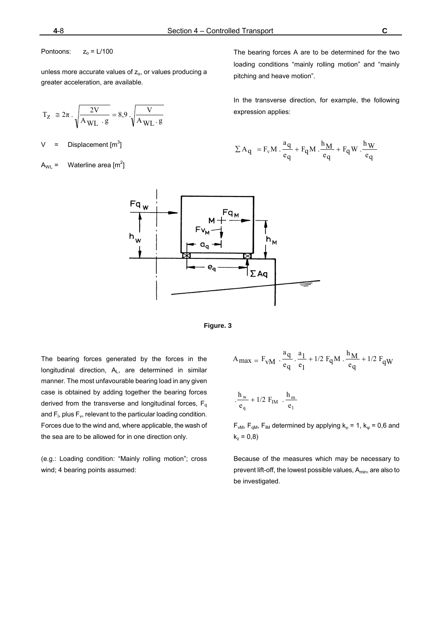Pontoons:  $z_0 = L/100$ 

unless more accurate values of  $z_0$ , or values producing a greater acceleration, are available.

$$
T_Z \cong 2\pi \cdot \sqrt{\frac{2V}{A_{WL} \cdot g}} = 8.9 \cdot \sqrt{\frac{V}{A_{WL} \cdot g}}
$$

V = Displacement  $\text{[m}^3\text{]}$ 

 $A_{WL} =$  Waterline area [m<sup>2</sup>]

The bearing forces A are to be determined for the two loading conditions "mainly rolling motion" and "mainly pitching and heave motion".

In the transverse direction, for example, the following expression applies:

$$
\Sigma \mathbf{A}_q = \mathbf{F}_v \mathbf{M} \cdot \frac{\mathbf{a}_q}{\mathbf{e}_q} + \mathbf{F}_q \mathbf{M} \cdot \frac{\mathbf{h}_M}{\mathbf{e}_q} + \mathbf{F}_q \mathbf{W} \cdot \frac{\mathbf{h}_W}{\mathbf{e}_q}
$$





The bearing forces generated by the forces in the longitudinal direction,  $A_L$ , are determined in similar manner. The most unfavourable bearing load in any given case is obtained by adding together the bearing forces derived from the transverse and longitudinal forces,  $F_q$ and  $F_i$ , plus  $F_v$ , relevant to the particular loading condition. Forces due to the wind and, where applicable, the wash of the sea are to be allowed for in one direction only.

(e.g.: Loading condition: "Mainly rolling motion"; cross wind; 4 bearing points assumed:

$$
A_{max} = F_{vM} \cdot \frac{a_q}{e_q} \cdot \frac{a_1}{e_1} + 1/2 F_q M \cdot \frac{h_M}{e_q} + 1/2 F_q W
$$
  

$$
\frac{h_w}{e_q} + 1/2 F_{IM} \cdot \frac{h_m}{e_1}
$$

 $F_{vM}$ ,  $F_{qM}$ ,  $F_{IM}$  determined by applying  $k_{\varphi} = 1$ ,  $k_{\psi} = 0.6$  and  $k_z = 0.8$ )

Because of the measures which may be necessary to prevent lift-off, the lowest possible values, A<sub>min</sub>, are also to be investigated.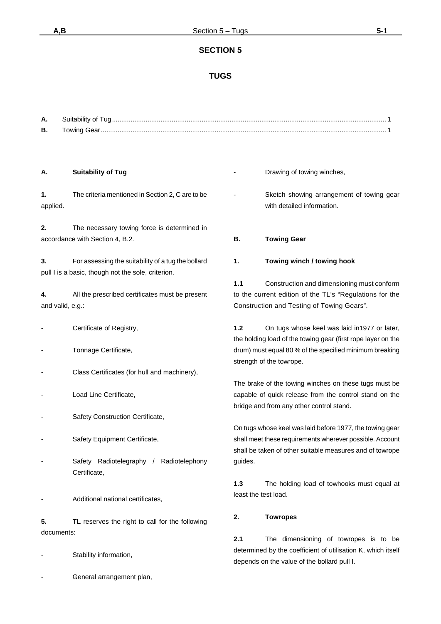# **TUGS**

| А. | Suitability of Tug |  |
|----|--------------------|--|
| Β. | <b>Towing Gear</b> |  |

#### **A. Suitability of Tug**

**1.** The criteria mentioned in Section 2, C are to be applied.

**2.** The necessary towing force is determined in accordance with Section 4, B.2.

**3.** For assessing the suitability of a tug the bollard pull I is a basic, though not the sole, criterion.

**4.** All the prescribed certificates must be present and valid, e.g.:

- Certificate of Registry,
- Tonnage Certificate,
- Class Certificates (for hull and machinery),
- Load Line Certificate.
- Safety Construction Certificate,
- Safety Equipment Certificate,
- Safety Radiotelegraphy / Radiotelephony Certificate,
- Additional national certificates,

**5. TL** reserves the right to call for the following documents:

- Stability information,
- General arrangement plan,
- Drawing of towing winches,
- Sketch showing arrangement of towing gear with detailed information.
- **B. Towing Gear**
- **1. Towing winch / towing hook**

**1.1** Construction and dimensioning must conform to the current edition of the TL's "Regulations for the Construction and Testing of Towing Gears".

**1.2** On tugs whose keel was laid in1977 or later, the holding load of the towing gear (first rope layer on the drum) must equal 80 % of the specified minimum breaking strength of the towrope.

The brake of the towing winches on these tugs must be capable of quick release from the control stand on the bridge and from any other control stand.

On tugs whose keel was laid before 1977, the towing gear shall meet these requirements wherever possible. Account shall be taken of other suitable measures and of towrope guides.

**1.3** The holding load of towhooks must equal at least the test load.

#### **2. Towropes**

**2.1** The dimensioning of towropes is to be determined by the coefficient of utilisation K, which itself depends on the value of the bollard pull I.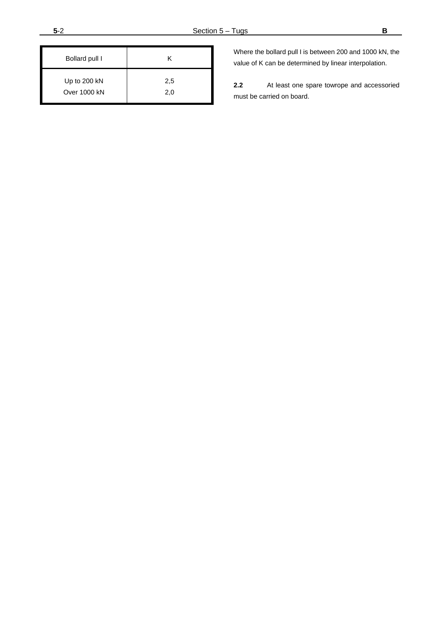| Bollard pull I      | κ   |
|---------------------|-----|
| Up to 200 kN        | 2,5 |
| <b>Over 1000 kN</b> | 2,0 |

Where the bollard pull I is between 200 and 1000 kN, the value of K can be determined by linear interpolation.

**2.2** At least one spare towrope and accessoried must be carried on board.